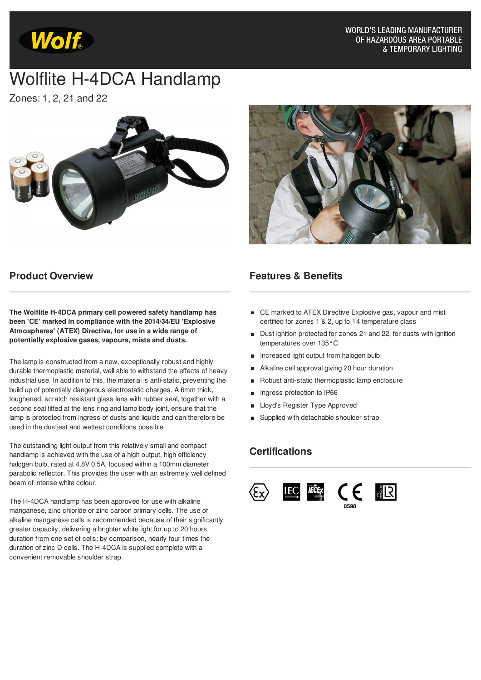

**WORLD'S LEADING MANUFACTURER** OF HAZARDOUS AREA PORTABLE & TEMPORARY LIGHTING

# Wolflite H-4DCA Handlamp

Zones: 1, 2, 21 and 22





#### **Product Overview**

**The Wolflite H-4DCA primary cell powered safety handlamp has been 'CE' marked in compliance with the 2014/34/EU 'Explosive Atmospheres' (ATEX) Directive, for use in a wide range of potentially explosive gases, vapours, mists and dusts.**

The lamp is constructed from a new, exceptionally robust and highly durable thermoplastic material, well able to withstand the effects of heavy industrial use. In addition to this, the material is anti-static, preventing the build up of potentially dangerous electrostatic charges. A 6mm thick, toughened, scratch resistant glass lens with rubber seal, together with a second seal fitted at the lens ring and lamp body joint, ensure that the lamp is protected from ingress of dusts and liquids and can therefore be used in the dustiest and wettest conditions possible.

The outstanding light output from this relatively small and compact handlamp is achieved with the use of a high output, high efficiency halogen bulb, rated at 4.8V 0.5A, focused within a 100mm diameter parabolic reflector. This provides the user with an extremely well defined beam of intense white colour.

The H-4DCA handlamp has been approved for use with alkaline manganese, zinc chloride or zinc carbon primary cells. The use of alkaline manganese cells is recommended because of their significantly greater capacity, delivering a brighter white light for up to 20 hours duration from one set of cells; by comparison, nearly four times the duration of zinc D cells. The H-4DCA is supplied complete with a convenient removable shoulder strap.

#### **Features & Benefits**

- CE marked to ATEX Directive Explosive gas, vapour and mist certified for zones 1 & 2, up to T4 temperature class
- Dust ignition protected for zones 21 and 22, for dusts with ignition temperatures over 135°C
- **Increased light output from halogen bulb**
- Alkaline cell approval giving 20 hour duration
- Robust anti-static thermoplastic lamp enclosure
- Ingress protection to IP66  $\blacksquare$
- Lloyd's Register Type Approved
- **Bupplied with detachable shoulder strap**

### **Certifications**

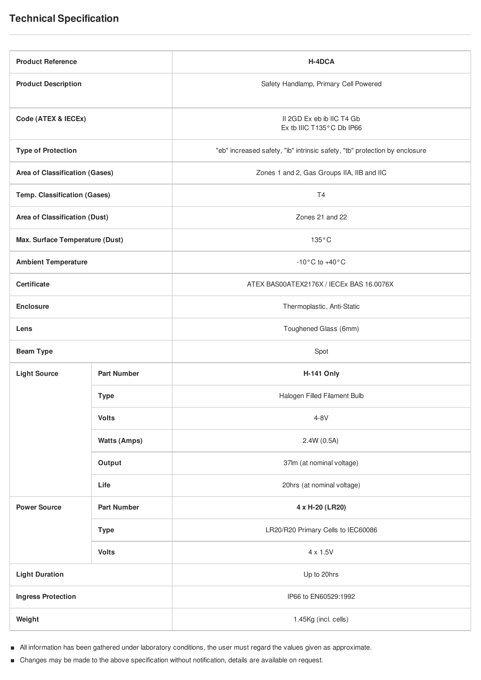| <b>Product Reference</b>            |                     | H-4DCA                                                                     |
|-------------------------------------|---------------------|----------------------------------------------------------------------------|
| <b>Product Description</b>          |                     | Safety Handlamp, Primary Cell Powered                                      |
| Code (ATEX & IECEx)                 |                     | II 2GD Ex eb ib IIC T4 Gb<br>Ex tb IIIC T135°C Db IP66                     |
| <b>Type of Protection</b>           |                     | "eb" increased safety, "ib" intrinsic safety, "tb" protection by enclosure |
| Area of Classification (Gases)      |                     | Zones 1 and 2, Gas Groups IIA, IIB and IIC                                 |
| <b>Temp. Classification (Gases)</b> |                     | T <sub>4</sub>                                                             |
| Area of Classification (Dust)       |                     | Zones 21 and 22                                                            |
| Max. Surface Temperature (Dust)     |                     | $135^{\circ}$ C                                                            |
| <b>Ambient Temperature</b>          |                     | $-10\degree$ C to $+40\degree$ C                                           |
| <b>Certificate</b>                  |                     | ATEX BAS00ATEX2176X / IECEx BAS 16.0076X                                   |
| <b>Enclosure</b>                    |                     | Thermoplastic, Anti-Static                                                 |
| Lens                                |                     | Toughened Glass (6mm)                                                      |
| <b>Beam Type</b>                    |                     | Spot                                                                       |
| <b>Light Source</b>                 | <b>Part Number</b>  | <b>H-141 Only</b>                                                          |
|                                     | <b>Type</b>         | Halogen Filled Filament Bulb                                               |
|                                     | <b>Volts</b>        | $4-8V$                                                                     |
|                                     | <b>Watts (Amps)</b> | 2.4W (0.5A)                                                                |
|                                     | Output              | 37lm (at nominal voltage)                                                  |
|                                     | Life                | 20hrs (at nominal voltage)                                                 |
| <b>Power Source</b>                 | <b>Part Number</b>  | 4 x H-20 (LR20)                                                            |
|                                     | <b>Type</b>         | LR20/R20 Primary Cells to IEC60086                                         |
|                                     | <b>Volts</b>        | $4 \times 1.5V$                                                            |
| <b>Light Duration</b>               |                     | Up to 20hrs                                                                |
| <b>Ingress Protection</b>           |                     | IP66 to EN60529:1992                                                       |
| Weight                              |                     | 1.45Kg (incl. cells)                                                       |
|                                     |                     |                                                                            |

 $\blacksquare$ All information has been gathered under laboratory conditions, the user must regard the values given as approximate.

Changes may be made to the above specification without notification, details are available on request.